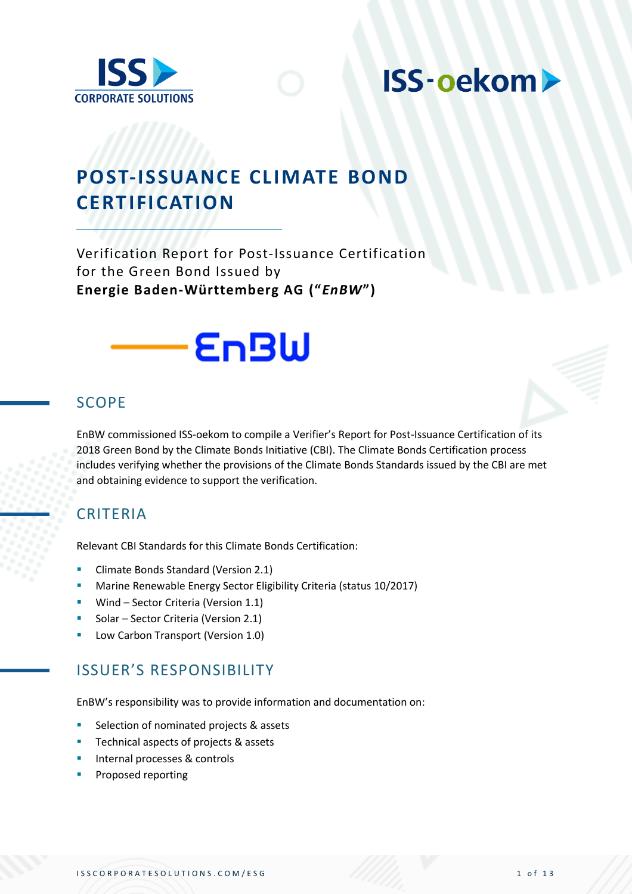

# **POST-ISSUANCE CLIMATE BOND CERTIFICATION**

Verification Report for Post-Issuance Certification for the Green Bond Issued by **Energie Baden-Württemberg AG ("***EnBW***")**



### SCOPE

EnBW commissioned ISS-oekom to compile a Verifier's Report for Post-Issuance Certification of its 2018 Green Bond by the Climate Bonds Initiative (CBI). The Climate Bonds Certification process includes verifying whether the provisions of the Climate Bonds Standards issued by the CBI are met and obtaining evidence to support the verification.

### CRITERIA

Relevant CBI Standards for this Climate Bonds Certification:

- Climate Bonds Standard (Version 2.1)
- Marine Renewable Energy Sector Eligibility Criteria (status 10/2017)
- **■** Wind Sector Criteria (Version 1.1)
- Solar Sector Criteria (Version 2.1)
- Low Carbon Transport (Version 1.0)

### ISSUER'S RESPONSIBILITY

EnBW's responsibility was to provide information and documentation on:

- Selection of nominated projects & assets
- Technical aspects of projects & assets
- Internal processes & controls
- Proposed reporting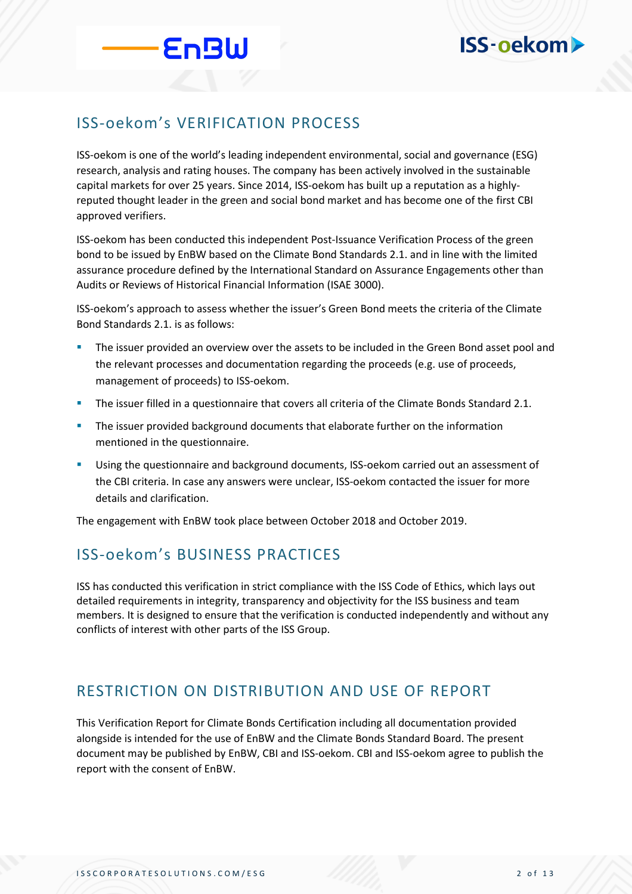### ISS-oekom's VERIFICATION PROCESS

EnBW

ISS-oekom is one of the world's leading independent environmental, social and governance (ESG) research, analysis and rating houses. The company has been actively involved in the sustainable capital markets for over 25 years. Since 2014, ISS-oekom has built up a reputation as a highlyreputed thought leader in the green and social bond market and has become one of the first CBI approved verifiers.

ISS-oekom has been conducted this independent Post-Issuance Verification Process of the green bond to be issued by EnBW based on the Climate Bond Standards 2.1. and in line with the limited assurance procedure defined by the International Standard on Assurance Engagements other than Audits or Reviews of Historical Financial Information (ISAE 3000).

ISS-oekom's approach to assess whether the issuer's Green Bond meets the criteria of the Climate Bond Standards 2.1. is as follows:

- The issuer provided an overview over the assets to be included in the Green Bond asset pool and the relevant processes and documentation regarding the proceeds (e.g. use of proceeds, management of proceeds) to ISS-oekom.
- The issuer filled in a questionnaire that covers all criteria of the Climate Bonds Standard 2.1.
- **•** The issuer provided background documents that elaborate further on the information mentioned in the questionnaire.
- **■** Using the questionnaire and background documents, ISS-oekom carried out an assessment of the CBI criteria. In case any answers were unclear, ISS-oekom contacted the issuer for more details and clarification.

The engagement with EnBW took place between October 2018 and October 2019.

### ISS-oekom's BUSINESS PRACTICES

ISS has conducted this verification in strict compliance with the ISS Code of Ethics, which lays out detailed requirements in integrity, transparency and objectivity for the ISS business and team members. It is designed to ensure that the verification is conducted independently and without any conflicts of interest with other parts of the ISS Group.

### RESTRICTION ON DISTRIBUTION AND USE OF REPORT

This Verification Report for Climate Bonds Certification including all documentation provided alongside is intended for the use of EnBW and the Climate Bonds Standard Board. The present document may be published by EnBW, CBI and ISS-oekom. CBI and ISS-oekom agree to publish the report with the consent of EnBW.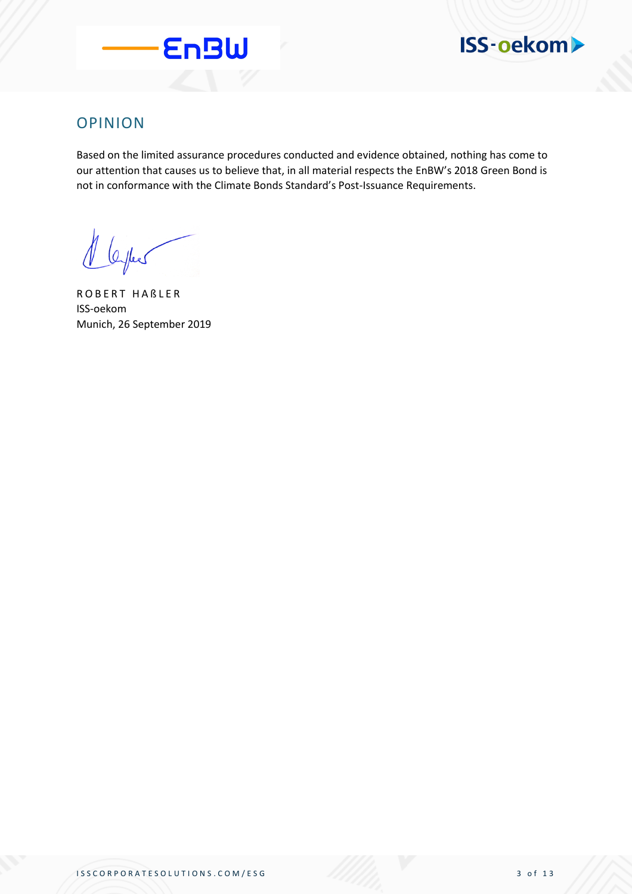



### OPINION

Based on the limited assurance procedures conducted and evidence obtained, nothing has come to our attention that causes us to believe that, in all material respects the EnBW's 2018 Green Bond is not in conformance with the Climate Bonds Standard's Post-Issuance Requirements.

1 leyes

R O B E R T H A ß L E R ISS-oekom Munich, 26 September 2019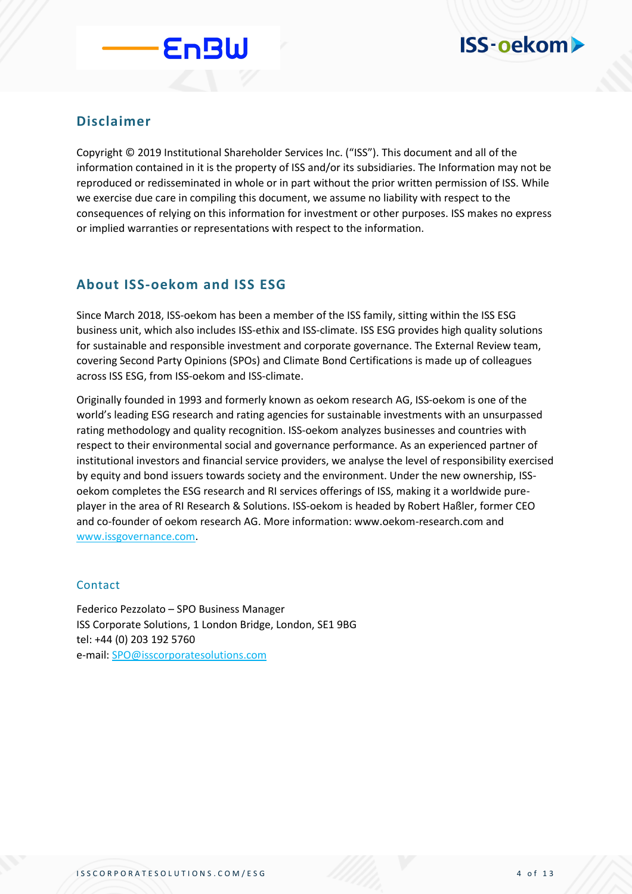

#### **Disclaimer**

Copyright © 2019 Institutional Shareholder Services Inc. ("ISS"). This document and all of the information contained in it is the property of ISS and/or its subsidiaries. The Information may not be reproduced or redisseminated in whole or in part without the prior written permission of ISS. While we exercise due care in compiling this document, we assume no liability with respect to the consequences of relying on this information for investment or other purposes. ISS makes no express or implied warranties or representations with respect to the information.

#### **About ISS-oekom and ISS ESG**

**EnBW** 

Since March 2018, ISS-oekom has been a member of the ISS family, sitting within the ISS ESG business unit, which also includes ISS-ethix and ISS-climate. ISS ESG provides high quality solutions for sustainable and responsible investment and corporate governance. The External Review team, covering Second Party Opinions (SPOs) and Climate Bond Certifications is made up of colleagues across ISS ESG, from ISS-oekom and ISS-climate.

Originally founded in 1993 and formerly known as oekom research AG, ISS-oekom is one of the world's leading ESG research and rating agencies for sustainable investments with an unsurpassed rating methodology and quality recognition. ISS-oekom analyzes businesses and countries with respect to their environmental social and governance performance. As an experienced partner of institutional investors and financial service providers, we analyse the level of responsibility exercised by equity and bond issuers towards society and the environment. Under the new ownership, ISSoekom completes the ESG research and RI services offerings of ISS, making it a worldwide pureplayer in the area of RI Research & Solutions. ISS-oekom is headed by Robert Haßler, former CEO and co-founder of oekom research AG. More information: www.oekom-research.com and [www.issgovernance.com.](http://www.issgovernance.com/)

#### Contact

Federico Pezzolato – SPO Business Manager ISS Corporate Solutions, 1 London Bridge, London, SE1 9BG tel: +44 (0) 203 192 5760 e-mail: [SPO@isscorporatesolutions.com](mailto:SPO@isscorporatesolutions.com)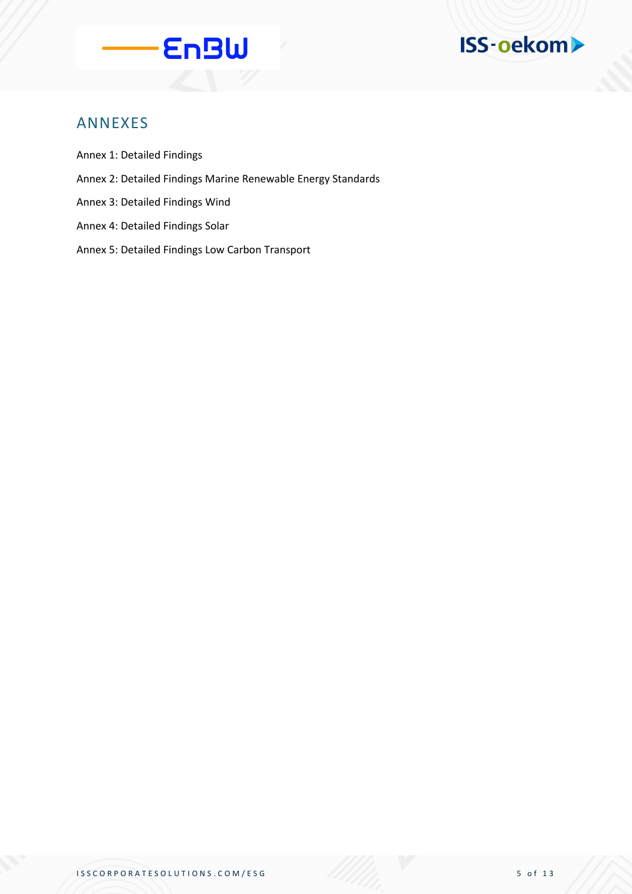



### ANNEXES

- Annex 1: Detailed Findings
- Annex 2: Detailed Findings Marine Renewable Energy Standards
- Annex 3: Detailed Findings Wind
- Annex 4: Detailed Findings Solar
- Annex 5: Detailed Findings Low Carbon Transport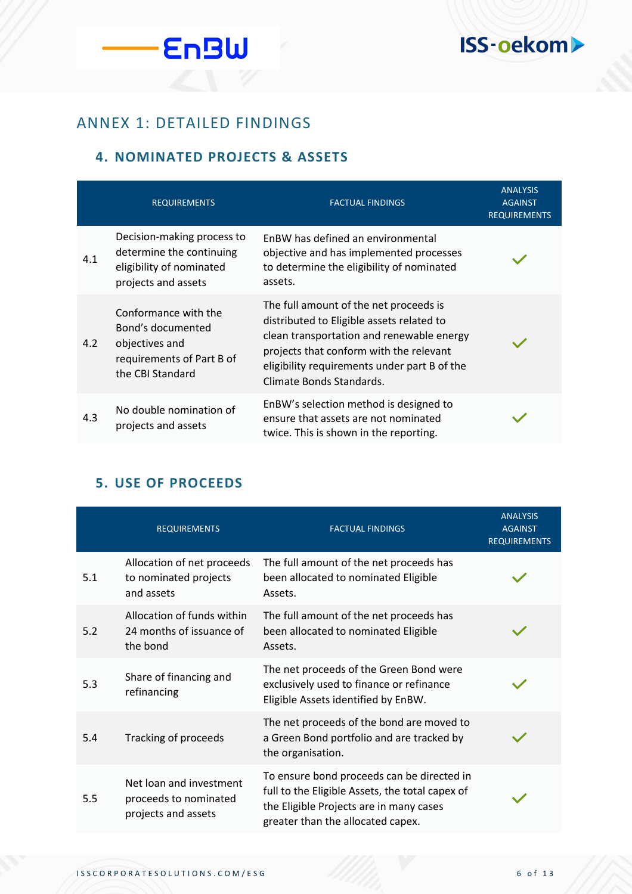

**EnBW** 

#### **4. NOMINATED PROJECTS & ASSETS**

|     | <b>REQUIREMENTS</b>                                                                                          | <b>FACTUAL FINDINGS</b>                                                                                                                                                                                                                                 | <b>ANALYSIS</b><br><b>AGAINST</b><br><b>REQUIREMENTS</b> |
|-----|--------------------------------------------------------------------------------------------------------------|---------------------------------------------------------------------------------------------------------------------------------------------------------------------------------------------------------------------------------------------------------|----------------------------------------------------------|
| 4.1 | Decision-making process to<br>determine the continuing<br>eligibility of nominated<br>projects and assets    | EnBW has defined an environmental<br>objective and has implemented processes<br>to determine the eligibility of nominated<br>assets.                                                                                                                    |                                                          |
| 4.2 | Conformance with the<br>Bond's documented<br>objectives and<br>requirements of Part B of<br>the CBI Standard | The full amount of the net proceeds is<br>distributed to Eligible assets related to<br>clean transportation and renewable energy<br>projects that conform with the relevant<br>eligibility requirements under part B of the<br>Climate Bonds Standards. |                                                          |
| 4.3 | No double nomination of<br>projects and assets                                                               | EnBW's selection method is designed to<br>ensure that assets are not nominated<br>twice. This is shown in the reporting.                                                                                                                                |                                                          |

### **5. USE OF PROCEEDS**

|     | <b>REQUIREMENTS</b>                                                     | <b>FACTUAL FINDINGS</b>                                                                                                                                                       | <b>ANALYSIS</b><br><b>AGAINST</b><br><b>REQUIREMENTS</b> |
|-----|-------------------------------------------------------------------------|-------------------------------------------------------------------------------------------------------------------------------------------------------------------------------|----------------------------------------------------------|
| 5.1 | Allocation of net proceeds<br>to nominated projects<br>and assets       | The full amount of the net proceeds has<br>been allocated to nominated Eligible<br>Assets.                                                                                    |                                                          |
| 5.2 | Allocation of funds within<br>24 months of issuance of<br>the bond      | The full amount of the net proceeds has<br>been allocated to nominated Eligible<br>Assets.                                                                                    |                                                          |
| 5.3 | Share of financing and<br>refinancing                                   | The net proceeds of the Green Bond were<br>exclusively used to finance or refinance<br>Eligible Assets identified by EnBW.                                                    |                                                          |
| 5.4 | Tracking of proceeds                                                    | The net proceeds of the bond are moved to<br>a Green Bond portfolio and are tracked by<br>the organisation.                                                                   |                                                          |
| 5.5 | Net loan and investment<br>proceeds to nominated<br>projects and assets | To ensure bond proceeds can be directed in<br>full to the Eligible Assets, the total capex of<br>the Eligible Projects are in many cases<br>greater than the allocated capex. |                                                          |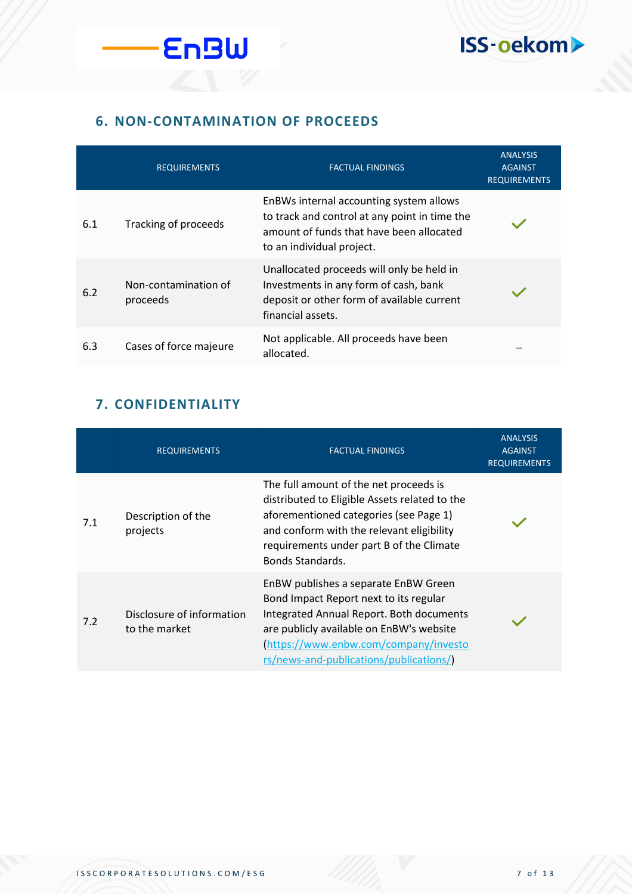

### **6. NON-CONTAMINATION OF PROCEEDS**

**EnBW** 

|     | <b>REQUIREMENTS</b>              | <b>FACTUAL FINDINGS</b>                                                                                                                                           | <b>ANALYSIS</b><br><b>AGAINST</b><br><b>REQUIREMENTS</b> |
|-----|----------------------------------|-------------------------------------------------------------------------------------------------------------------------------------------------------------------|----------------------------------------------------------|
| 6.1 | Tracking of proceeds             | EnBWs internal accounting system allows<br>to track and control at any point in time the<br>amount of funds that have been allocated<br>to an individual project. |                                                          |
| 6.2 | Non-contamination of<br>proceeds | Unallocated proceeds will only be held in<br>Investments in any form of cash, bank<br>deposit or other form of available current<br>financial assets.             |                                                          |
| 6.3 | Cases of force majeure           | Not applicable. All proceeds have been<br>allocated.                                                                                                              |                                                          |

### **7. CONFIDENTIALITY**

|     | <b>REQUIREMENTS</b>                        | <b>FACTUAL FINDINGS</b>                                                                                                                                                                                                                                   | <b>ANALYSIS</b><br><b>AGAINST</b><br><b>REQUIREMENTS</b> |
|-----|--------------------------------------------|-----------------------------------------------------------------------------------------------------------------------------------------------------------------------------------------------------------------------------------------------------------|----------------------------------------------------------|
| 7.1 | Description of the<br>projects             | The full amount of the net proceeds is<br>distributed to Eligible Assets related to the<br>aforementioned categories (see Page 1)<br>and conform with the relevant eligibility<br>requirements under part B of the Climate<br>Bonds Standards.            |                                                          |
| 7.2 | Disclosure of information<br>to the market | EnBW publishes a separate EnBW Green<br>Bond Impact Report next to its regular<br>Integrated Annual Report. Both documents<br>are publicly available on EnBW's website<br>https://www.enbw.com/company/investo<br>rs/news-and-publications/publications/) |                                                          |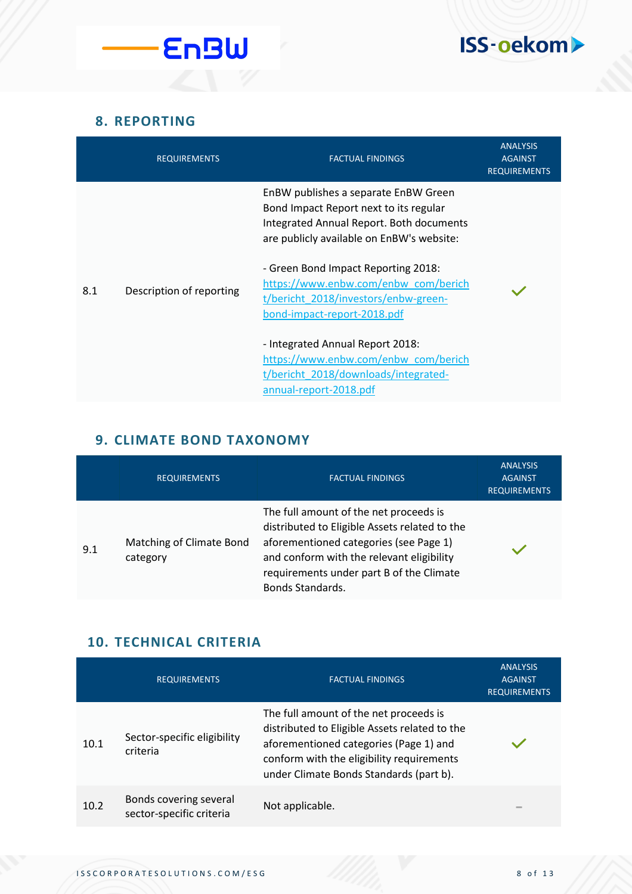

### **8. REPORTING**

|     | <b>REQUIREMENTS</b>      | <b>FACTUAL FINDINGS</b>                                                                                                                                                 | <b>ANALYSIS</b><br><b>AGAINST</b><br><b>REQUIREMENTS</b> |
|-----|--------------------------|-------------------------------------------------------------------------------------------------------------------------------------------------------------------------|----------------------------------------------------------|
|     |                          | EnBW publishes a separate EnBW Green<br>Bond Impact Report next to its regular<br>Integrated Annual Report. Both documents<br>are publicly available on EnBW's website: |                                                          |
| 8.1 | Description of reporting | - Green Bond Impact Reporting 2018:<br>https://www.enbw.com/enbw_com/berich<br>t/bericht 2018/investors/enbw-green-<br>bond-impact-report-2018.pdf                      |                                                          |
|     |                          | - Integrated Annual Report 2018:<br>https://www.enbw.com/enbw_com/berich<br>t/bericht 2018/downloads/integrated-<br>annual-report-2018.pdf                              |                                                          |

### **9. CLIMATE BOND TAXONOMY**

|     | <b>REQUIREMENTS</b>                  | <b>FACTUAL FINDINGS</b>                                                                                                                                                                                                                        | <b>ANALYSIS</b><br><b>AGAINST</b><br><b>REQUIREMENTS</b> |
|-----|--------------------------------------|------------------------------------------------------------------------------------------------------------------------------------------------------------------------------------------------------------------------------------------------|----------------------------------------------------------|
| 9.1 | Matching of Climate Bond<br>category | The full amount of the net proceeds is<br>distributed to Eligible Assets related to the<br>aforementioned categories (see Page 1)<br>and conform with the relevant eligibility<br>requirements under part B of the Climate<br>Bonds Standards. |                                                          |

### **10. TECHNICAL CRITERIA**

|      | <b>REQUIREMENTS</b>                                | <b>FACTUAL FINDINGS</b>                                                                                                                                                                                                   | <b>ANALYSIS</b><br><b>AGAINST</b><br><b>REQUIREMENTS</b> |
|------|----------------------------------------------------|---------------------------------------------------------------------------------------------------------------------------------------------------------------------------------------------------------------------------|----------------------------------------------------------|
| 10.1 | Sector-specific eligibility<br>criteria            | The full amount of the net proceeds is<br>distributed to Eligible Assets related to the<br>aforementioned categories (Page 1) and<br>conform with the eligibility requirements<br>under Climate Bonds Standards (part b). |                                                          |
| 10.2 | Bonds covering several<br>sector-specific criteria | Not applicable.                                                                                                                                                                                                           | $\equiv$                                                 |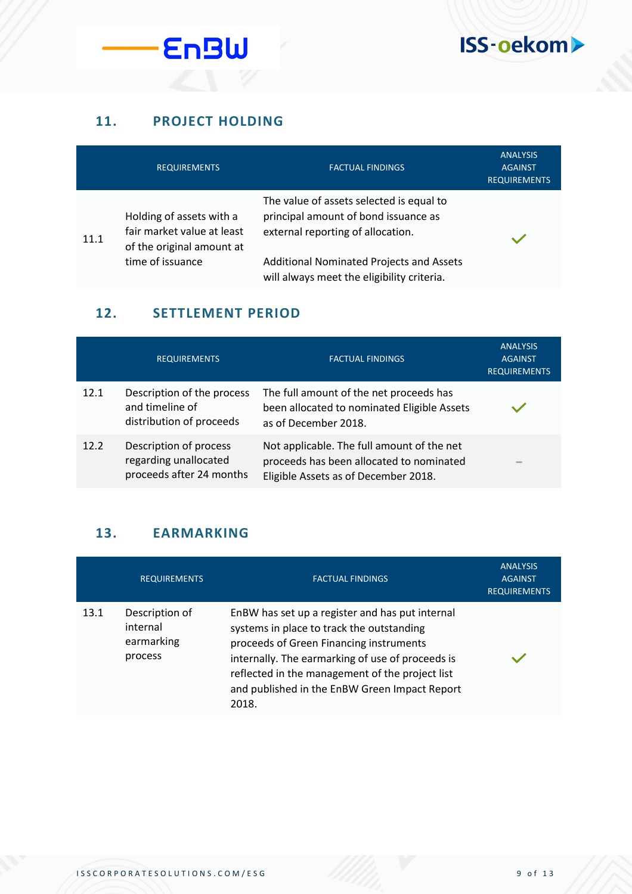

### **11. PROJECT HOLDING**

|      | <b>REQUIREMENTS</b>                                                                 | <b>FACTUAL FINDINGS</b>                                                                                               | <b>ANALYSIS</b><br><b>AGAINST</b><br><b>REQUIREMENTS</b> |
|------|-------------------------------------------------------------------------------------|-----------------------------------------------------------------------------------------------------------------------|----------------------------------------------------------|
| 11.1 | Holding of assets with a<br>fair market value at least<br>of the original amount at | The value of assets selected is equal to<br>principal amount of bond issuance as<br>external reporting of allocation. |                                                          |
|      | time of issuance                                                                    | <b>Additional Nominated Projects and Assets</b><br>will always meet the eligibility criteria.                         |                                                          |

### **12. SETTLEMENT PERIOD**

|      | <b>REQUIREMENTS</b>                                                         | <b>FACTUAL FINDINGS</b>                                                                                                        | <b>ANALYSIS</b><br><b>AGAINST</b><br><b>REQUIREMENTS</b> |
|------|-----------------------------------------------------------------------------|--------------------------------------------------------------------------------------------------------------------------------|----------------------------------------------------------|
| 12.1 | Description of the process<br>and timeline of<br>distribution of proceeds   | The full amount of the net proceeds has<br>been allocated to nominated Eligible Assets<br>as of December 2018.                 |                                                          |
| 12.2 | Description of process<br>regarding unallocated<br>proceeds after 24 months | Not applicable. The full amount of the net<br>proceeds has been allocated to nominated<br>Eligible Assets as of December 2018. | $\equiv$                                                 |

### **13. EARMARKING**

|      | <b>REQUIREMENTS</b>                                 | <b>FACTUAL FINDINGS</b>                                                                                                                                                                                                                                                                                  | <b>ANALYSIS</b><br><b>AGAINST</b><br><b>REQUIREMENTS</b> |
|------|-----------------------------------------------------|----------------------------------------------------------------------------------------------------------------------------------------------------------------------------------------------------------------------------------------------------------------------------------------------------------|----------------------------------------------------------|
| 13.1 | Description of<br>internal<br>earmarking<br>process | EnBW has set up a register and has put internal<br>systems in place to track the outstanding<br>proceeds of Green Financing instruments<br>internally. The earmarking of use of proceeds is<br>reflected in the management of the project list<br>and published in the EnBW Green Impact Report<br>2018. |                                                          |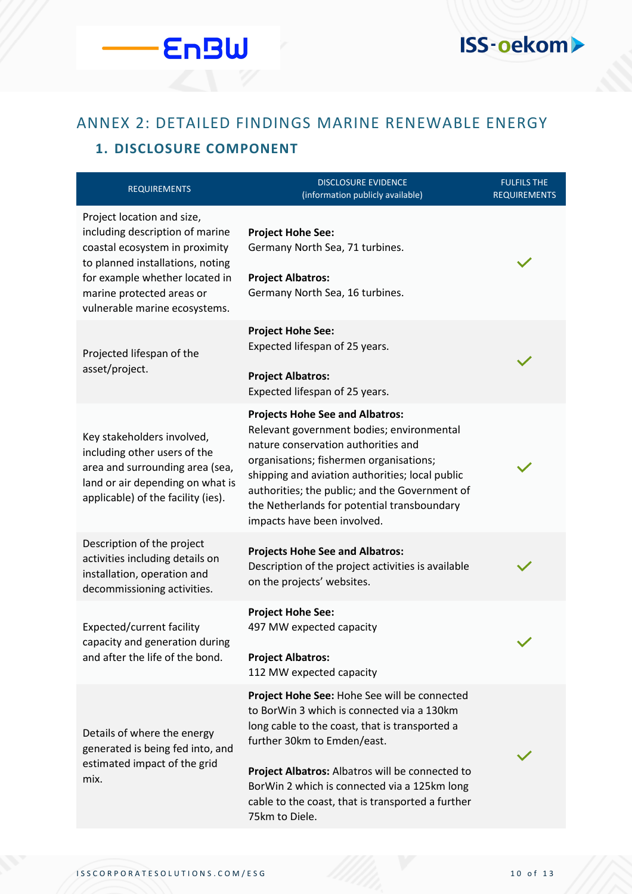## ANNEX 2: DETAILED FINDINGS MARINE RENEWABLE ENERGY

### **1. DISCLOSURE COMPONENT**

**EnBW** 

| <b>REQUIREMENTS</b>                                                                                                                                                                                                                 | <b>DISCLOSURE EVIDENCE</b><br>(information publicly available)                                                                                                                                                                                                                                                                                           | <b>FULFILS THE</b><br><b>REQUIREMENTS</b> |
|-------------------------------------------------------------------------------------------------------------------------------------------------------------------------------------------------------------------------------------|----------------------------------------------------------------------------------------------------------------------------------------------------------------------------------------------------------------------------------------------------------------------------------------------------------------------------------------------------------|-------------------------------------------|
| Project location and size,<br>including description of marine<br>coastal ecosystem in proximity<br>to planned installations, noting<br>for example whether located in<br>marine protected areas or<br>vulnerable marine ecosystems. | <b>Project Hohe See:</b><br>Germany North Sea, 71 turbines.<br><b>Project Albatros:</b><br>Germany North Sea, 16 turbines.                                                                                                                                                                                                                               |                                           |
| Projected lifespan of the<br>asset/project.                                                                                                                                                                                         | <b>Project Hohe See:</b><br>Expected lifespan of 25 years.<br><b>Project Albatros:</b><br>Expected lifespan of 25 years.                                                                                                                                                                                                                                 |                                           |
| Key stakeholders involved,<br>including other users of the<br>area and surrounding area (sea,<br>land or air depending on what is<br>applicable) of the facility (ies).                                                             | <b>Projects Hohe See and Albatros:</b><br>Relevant government bodies; environmental<br>nature conservation authorities and<br>organisations; fishermen organisations;<br>shipping and aviation authorities; local public<br>authorities; the public; and the Government of<br>the Netherlands for potential transboundary<br>impacts have been involved. |                                           |
| Description of the project<br>activities including details on<br>installation, operation and<br>decommissioning activities.                                                                                                         | <b>Projects Hohe See and Albatros:</b><br>Description of the project activities is available<br>on the projects' websites.                                                                                                                                                                                                                               |                                           |
| Expected/current facility<br>capacity and generation during<br>and after the life of the bond.                                                                                                                                      | <b>Project Hohe See:</b><br>497 MW expected capacity<br><b>Project Albatros:</b><br>112 MW expected capacity                                                                                                                                                                                                                                             |                                           |
| Details of where the energy<br>generated is being fed into, and<br>estimated impact of the grid<br>mix.                                                                                                                             | Project Hohe See: Hohe See will be connected<br>to BorWin 3 which is connected via a 130km<br>long cable to the coast, that is transported a<br>further 30km to Emden/east.<br>Project Albatros: Albatros will be connected to<br>BorWin 2 which is connected via a 125km long<br>cable to the coast, that is transported a further<br>75km to Diele.    |                                           |

**ISS-oekom>**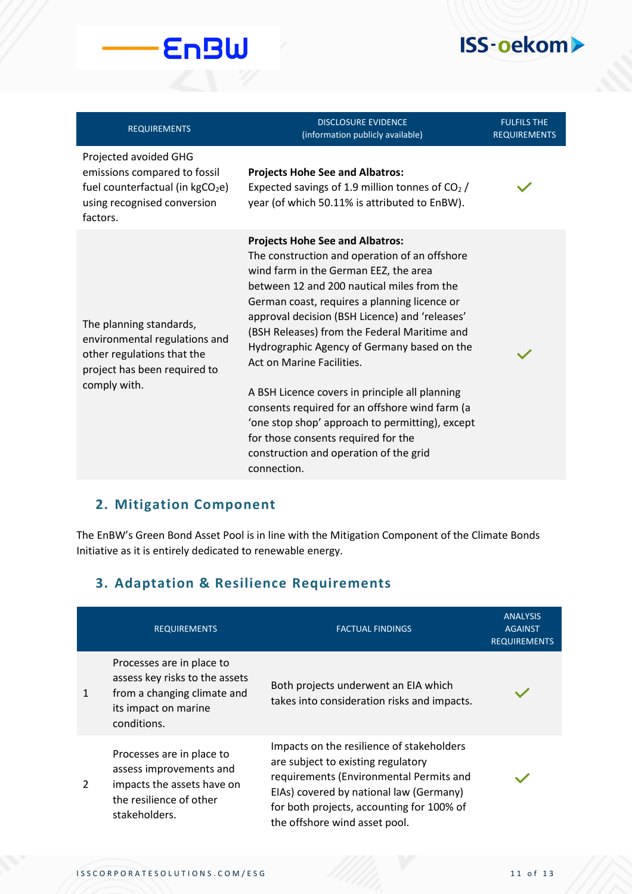| <b>REQUIREMENTS</b>                                                                                                                              | <b>DISCLOSURE EVIDENCE</b><br>(information publicly available)                                                                                                                                                                                                                                                                                                                                                                                                                                                                                                                                                                                                      | <b>FULFILS THE</b><br><b>REQUIREMENTS</b> |
|--------------------------------------------------------------------------------------------------------------------------------------------------|---------------------------------------------------------------------------------------------------------------------------------------------------------------------------------------------------------------------------------------------------------------------------------------------------------------------------------------------------------------------------------------------------------------------------------------------------------------------------------------------------------------------------------------------------------------------------------------------------------------------------------------------------------------------|-------------------------------------------|
| Projected avoided GHG<br>emissions compared to fossil<br>fuel counterfactual (in kgCO <sub>2</sub> e)<br>using recognised conversion<br>factors. | <b>Projects Hohe See and Albatros:</b><br>Expected savings of 1.9 million tonnes of $CO2$ /<br>year (of which 50.11% is attributed to EnBW).                                                                                                                                                                                                                                                                                                                                                                                                                                                                                                                        |                                           |
| The planning standards,<br>environmental regulations and<br>other regulations that the<br>project has been required to<br>comply with.           | <b>Projects Hohe See and Albatros:</b><br>The construction and operation of an offshore<br>wind farm in the German EEZ, the area<br>between 12 and 200 nautical miles from the<br>German coast, requires a planning licence or<br>approval decision (BSH Licence) and 'releases'<br>(BSH Releases) from the Federal Maritime and<br>Hydrographic Agency of Germany based on the<br>Act on Marine Facilities.<br>A BSH Licence covers in principle all planning<br>consents required for an offshore wind farm (a<br>'one stop shop' approach to permitting), except<br>for those consents required for the<br>construction and operation of the grid<br>connection. |                                           |

#### **2. Mitigation Component**

**EnBW** 

The EnBW's Green Bond Asset Pool is in line with the Mitigation Component of the Climate Bonds Initiative as it is entirely dedicated to renewable energy.

### **3. Adaptation & Resilience Requirements**

|               | <b>REQUIREMENTS</b>                                                                                                               | <b>FACTUAL FINDINGS</b>                                                                                                                                                                                                                             | <b>ANALYSIS</b><br><b>AGAINST</b><br><b>REQUIREMENTS</b> |
|---------------|-----------------------------------------------------------------------------------------------------------------------------------|-----------------------------------------------------------------------------------------------------------------------------------------------------------------------------------------------------------------------------------------------------|----------------------------------------------------------|
|               | Processes are in place to<br>assess key risks to the assets<br>from a changing climate and<br>its impact on marine<br>conditions. | Both projects underwent an EIA which<br>takes into consideration risks and impacts.                                                                                                                                                                 |                                                          |
| $\mathcal{P}$ | Processes are in place to<br>assess improvements and<br>impacts the assets have on<br>the resilience of other<br>stakeholders.    | Impacts on the resilience of stakeholders<br>are subject to existing regulatory<br>requirements (Environmental Permits and<br>EIAs) covered by national law (Germany)<br>for both projects, accounting for 100% of<br>the offshore wind asset pool. |                                                          |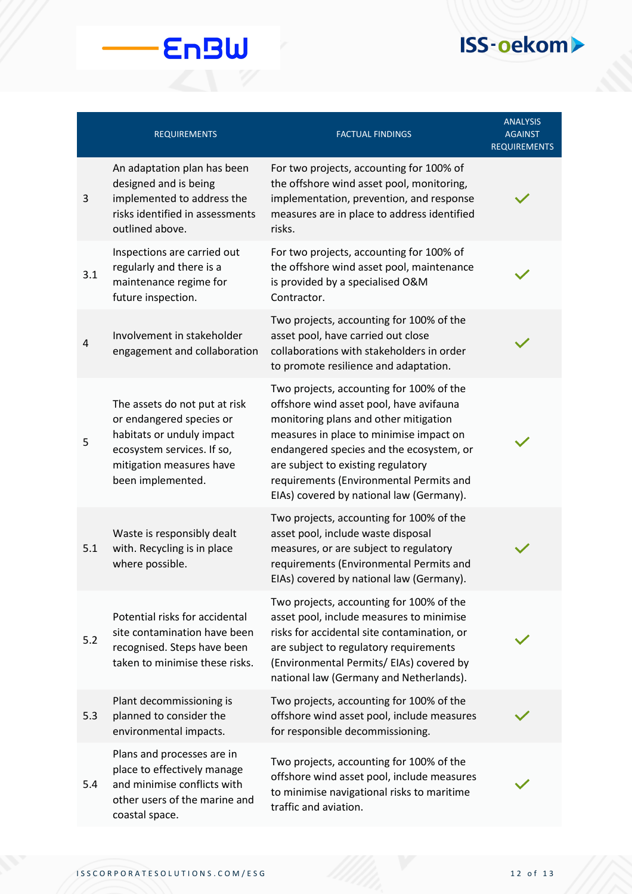|     | <b>REQUIREMENTS</b>                                                                                                                                                   | <b>FACTUAL FINDINGS</b>                                                                                                                                                                                                                                                                                                                          | <b>ANALYSIS</b><br><b>AGAINST</b><br>REQUIREMENTS |
|-----|-----------------------------------------------------------------------------------------------------------------------------------------------------------------------|--------------------------------------------------------------------------------------------------------------------------------------------------------------------------------------------------------------------------------------------------------------------------------------------------------------------------------------------------|---------------------------------------------------|
| 3   | An adaptation plan has been<br>designed and is being<br>implemented to address the<br>risks identified in assessments<br>outlined above.                              | For two projects, accounting for 100% of<br>the offshore wind asset pool, monitoring,<br>implementation, prevention, and response<br>measures are in place to address identified<br>risks.                                                                                                                                                       |                                                   |
| 3.1 | Inspections are carried out<br>regularly and there is a<br>maintenance regime for<br>future inspection.                                                               | For two projects, accounting for 100% of<br>the offshore wind asset pool, maintenance<br>is provided by a specialised O&M<br>Contractor.                                                                                                                                                                                                         |                                                   |
| 4   | Involvement in stakeholder<br>engagement and collaboration                                                                                                            | Two projects, accounting for 100% of the<br>asset pool, have carried out close<br>collaborations with stakeholders in order<br>to promote resilience and adaptation.                                                                                                                                                                             |                                                   |
| 5   | The assets do not put at risk<br>or endangered species or<br>habitats or unduly impact<br>ecosystem services. If so,<br>mitigation measures have<br>been implemented. | Two projects, accounting for 100% of the<br>offshore wind asset pool, have avifauna<br>monitoring plans and other mitigation<br>measures in place to minimise impact on<br>endangered species and the ecosystem, or<br>are subject to existing regulatory<br>requirements (Environmental Permits and<br>EIAs) covered by national law (Germany). |                                                   |
| 5.1 | Waste is responsibly dealt<br>with. Recycling is in place<br>where possible.                                                                                          | Two projects, accounting for 100% of the<br>asset pool, include waste disposal<br>measures, or are subject to regulatory<br>requirements (Environmental Permits and<br>EIAs) covered by national law (Germany).                                                                                                                                  |                                                   |
| 5.2 | Potential risks for accidental<br>site contamination have been<br>recognised. Steps have been<br>taken to minimise these risks.                                       | Two projects, accounting for 100% of the<br>asset pool, include measures to minimise<br>risks for accidental site contamination, or<br>are subject to regulatory requirements<br>(Environmental Permits/ EIAs) covered by<br>national law (Germany and Netherlands).                                                                             |                                                   |
| 5.3 | Plant decommissioning is<br>planned to consider the<br>environmental impacts.                                                                                         | Two projects, accounting for 100% of the<br>offshore wind asset pool, include measures<br>for responsible decommissioning.                                                                                                                                                                                                                       |                                                   |
| 5.4 | Plans and processes are in<br>place to effectively manage<br>and minimise conflicts with<br>other users of the marine and<br>coastal space.                           | Two projects, accounting for 100% of the<br>offshore wind asset pool, include measures<br>to minimise navigational risks to maritime<br>traffic and aviation.                                                                                                                                                                                    |                                                   |

**EnBW**